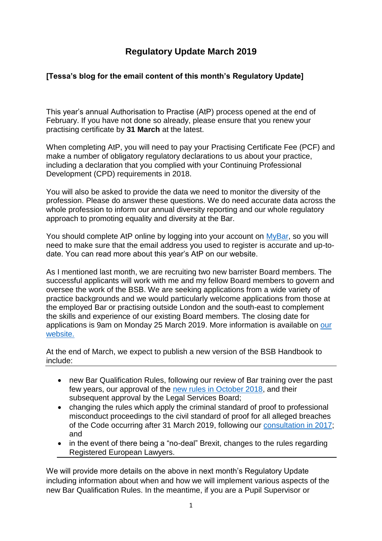# **Regulatory Update March 2019**

## **[Tessa's blog for the email content of this month's Regulatory Update]**

This year's annual Authorisation to Practise (AtP) process opened at the end of February. If you have not done so already, please ensure that you renew your practising certificate by **31 March** at the latest.

When completing AtP, you will need to pay your Practising Certificate Fee (PCF) and make a number of obligatory regulatory declarations to us about your practice, including a declaration that you complied with your Continuing Professional Development (CPD) requirements in 2018.

You will also be asked to provide the data we need to monitor the diversity of the profession. Please do answer these questions. We do need accurate data across the whole profession to inform our annual diversity reporting and our whole regulatory approach to promoting equality and diversity at the Bar.

You should complete AtP online by logging into your account on [MyBar,](https://www.mybar.org.uk/login.html) so you will need to make sure that the email address you used to register is accurate and up-todate. You can read more about this year's AtP on our website.

As I mentioned last month, we are recruiting two new barrister Board members. The successful applicants will work with me and my fellow Board members to govern and oversee the work of the BSB. We are seeking applications from a wide variety of practice backgrounds and we would particularly welcome applications from those at the employed Bar or practising outside London and the south-east to complement the skills and experience of our existing Board members. The closing date for applications is 9am on Monday 25 March 2019. More information is available on [our](https://www.barstandardsboard.org.uk/media-centre/press-releases-and-news/bsb-seeks-up-to-two-new-barrister-board-members/)  [website.](https://www.barstandardsboard.org.uk/media-centre/press-releases-and-news/bsb-seeks-up-to-two-new-barrister-board-members/)

At the end of March, we expect to publish a new version of the BSB Handbook to include:

- new Bar Qualification Rules, following our review of Bar training over the past few years, our approval of the [new rules in October 2018,](https://www.barstandardsboard.org.uk/media-centre/press-releases-and-news/regulator-agrees-new-bar-training-rules/) and their subsequent approval by the Legal Services Board;
- changing the rules which apply the criminal standard of proof to professional misconduct proceedings to the civil standard of proof for all alleged breaches of the Code occurring after 31 March 2019, following our [consultation in 2017;](https://www.barstandardsboard.org.uk/media-centre/press-releases-and-news/civil-standard-of-proof-set-to-be-adopted-for-professional-misconduct-proceedings-for-barristers/) and
- in the event of there being a "no-deal" Brexit, changes to the rules regarding Registered European Lawyers.

We will provide more details on the above in next month's Regulatory Update including information about when and how we will implement various aspects of the new Bar Qualification Rules. In the meantime, if you are a Pupil Supervisor or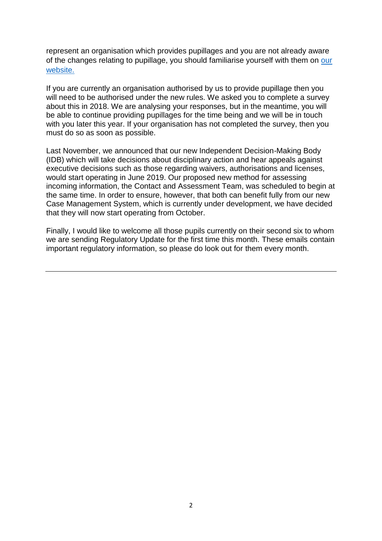represent an organisation which provides pupillages and you are not already aware of the changes relating to pupillage, you should familiarise yourself with them on [our](https://www.barstandardsboard.org.uk/qualifying-as-a-barrister/bar-training-requirements/pupillage-and-work-based-learning-component/)  [website.](https://www.barstandardsboard.org.uk/qualifying-as-a-barrister/bar-training-requirements/pupillage-and-work-based-learning-component/)

If you are currently an organisation authorised by us to provide pupillage then you will need to be authorised under the new rules. We asked you to complete a survey about this in 2018. We are analysing your responses, but in the meantime, you will be able to continue providing pupillages for the time being and we will be in touch with you later this year. If your organisation has not completed the survey, then you must do so as soon as possible.

Last November, we announced that our new Independent Decision-Making Body (IDB) which will take decisions about disciplinary action and hear appeals against executive decisions such as those regarding waivers, authorisations and licenses, would start operating in June 2019. Our proposed new method for assessing incoming information, the Contact and Assessment Team, was scheduled to begin at the same time. In order to ensure, however, that both can benefit fully from our new Case Management System, which is currently under development, we have decided that they will now start operating from October.

Finally, I would like to welcome all those pupils currently on their second six to whom we are sending Regulatory Update for the first time this month. These emails contain important regulatory information, so please do look out for them every month.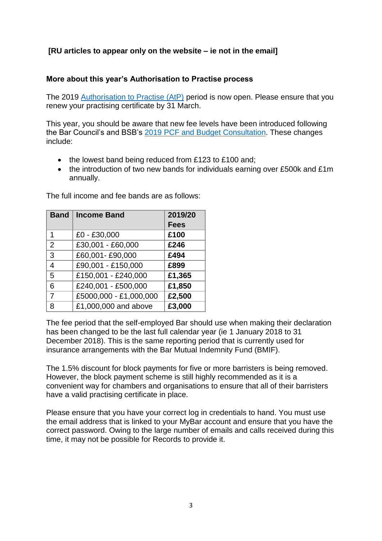## **[RU articles to appear only on the website – ie not in the email]**

#### **More about this year's Authorisation to Practise process**

The 2019 Authorisation to Practise (AtP) period is now open. Please ensure that you renew your practising certificate by 31 March.

This year, you should be aware that new fee levels have been introduced following the Bar Council's and BSB's 2019 PCF and Budget [Consultation.](https://www.barcouncil.org.uk/media/690090/181107_2019_pcf_and_budget_consultation_v4_mcc.pdf) These changes include:

- the lowest band being reduced from £123 to £100 and;
- the introduction of two new bands for individuals earning over £500k and £1m annually.

| Band           | <b>Income Band</b>                | 2019/20     |
|----------------|-----------------------------------|-------------|
|                |                                   | <b>Fees</b> |
| 1              | £0 - £30,000                      | £100        |
| $\overline{2}$ | £30,001 - £60,000                 | £246        |
| 3              | £60,001-£90,000                   | £494        |
| $\overline{4}$ | £90,001 - £150,000                | £899        |
| 5              | £150,001 - £240,000               | £1,365      |
| 6              | £240,001 - £500,000               | £1,850      |
| $\overline{7}$ | £5000,000 - £1,000,000            | £2,500      |
| 8              | $\overline{£1,000,000}$ and above | £3,000      |

The full income and fee bands are as follows:

The fee period that the self-employed Bar should use when making their declaration has been changed to be the last full calendar year (ie 1 January 2018 to 31 December 2018). This is the same reporting period that is currently used for insurance arrangements with the Bar Mutual Indemnity Fund (BMIF).

The 1.5% discount for block payments for five or more barristers is being removed. However, the block payment scheme is still highly recommended as it is a convenient way for chambers and organisations to ensure that all of their barristers have a valid practising certificate in place.

Please ensure that you have your correct log in credentials to hand. You must use the email address that is linked to your MyBar account and ensure that you have the correct password. Owing to the large number of emails and calls received during this time, it may not be possible for Records to provide it.